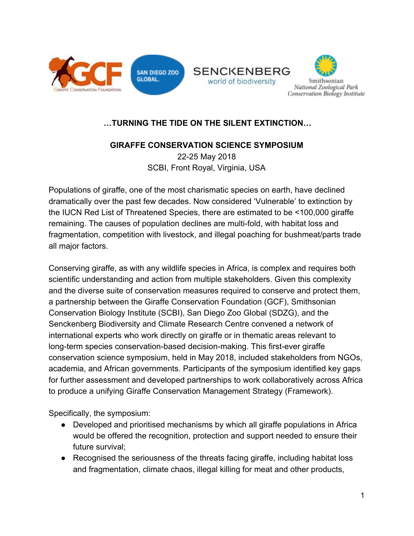





# **…TURNING THE TIDE ON THE SILENT EXTINCTION…**

#### **GIRAFFE CONSERVATION SCIENCE SYMPOSIUM**  22-25 May 2018

SCBI, Front Royal, Virginia, USA

Populations of giraffe, one of the most charismatic species on earth, have declined dramatically over the past few decades. Now considered 'Vulnerable' to extinction by the IUCN Red List of Threatened Species, there are estimated to be <100,000 giraffe remaining. The causes of population declines are multi-fold, with habitat loss and fragmentation, competition with livestock, and illegal poaching for bushmeat/parts trade all major factors.

Conserving giraffe, as with any wildlife species in Africa, is complex and requires both scientific understanding and action from multiple stakeholders. Given this complexity and the diverse suite of conservation measures required to conserve and protect them, a partnership between the Giraffe Conservation Foundation (GCF), Smithsonian Conservation Biology Institute (SCBI), San Diego Zoo Global (SDZG), and the Senckenberg Biodiversity and Climate Research Centre convened a network of international experts who work directly on giraffe or in thematic areas relevant to long-term species conservation-based decision-making. This first-ever giraffe conservation science symposium, held in May 2018, included stakeholders from NGOs, academia, and African governments. Participants of the symposium identified key gaps for further assessment and developed partnerships to work collaboratively across Africa to produce a unifying Giraffe Conservation Management Strategy (Framework).

Specifically, the symposium:

- Developed and prioritised mechanisms by which all giraffe populations in Africa would be offered the recognition, protection and support needed to ensure their future survival;
- Recognised the seriousness of the threats facing giraffe, including habitat loss and fragmentation, climate chaos, illegal killing for meat and other products,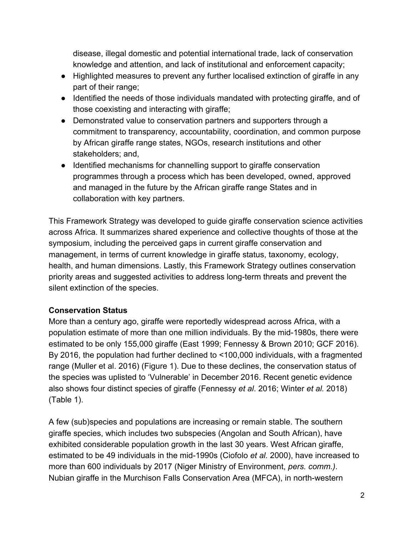disease, illegal domestic and potential international trade, lack of conservation knowledge and attention, and lack of institutional and enforcement capacity;

- Highlighted measures to prevent any further localised extinction of giraffe in any part of their range;
- Identified the needs of those individuals mandated with protecting giraffe, and of those coexisting and interacting with giraffe;
- Demonstrated value to conservation partners and supporters through a commitment to transparency, accountability, coordination, and common purpose by African giraffe range states, NGOs, research institutions and other stakeholders; and,
- Identified mechanisms for channelling support to giraffe conservation programmes through a process which has been developed, owned, approved and managed in the future by the African giraffe range States and in collaboration with key partners.

This Framework Strategy was developed to guide giraffe conservation science activities across Africa. It summarizes shared experience and collective thoughts of those at the symposium, including the perceived gaps in current giraffe conservation and management, in terms of current knowledge in giraffe status, taxonomy, ecology, health, and human dimensions. Lastly, this Framework Strategy outlines conservation priority areas and suggested activities to address long-term threats and prevent the silent extinction of the species.

# **Conservation Status**

More than a century ago, giraffe were reportedly widespread across Africa, with a population estimate of more than one million individuals. By the mid-1980s, there were estimated to be only 155,000 giraffe (East 1999; Fennessy & Brown 2010; GCF 2016). By 2016, the population had further declined to <100,000 individuals, with a fragmented range (Muller et al. 2016) (Figure 1). Due to these declines, the conservation status of the species was uplisted to 'Vulnerable' in December 2016. Recent genetic evidence also shows four distinct species of giraffe (Fennessy *et al*. 2016; Winter *et al.* 2018) (Table 1).

A few (sub)species and populations are increasing or remain stable. The southern giraffe species, which includes two subspecies (Angolan and South African), have exhibited considerable population growth in the last 30 years. West African giraffe, estimated to be 49 individuals in the mid-1990s (Ciofolo *et al.* 2000), have increased to more than 600 individuals by 2017 (Niger Ministry of Environment, *pers. comm.)*. Nubian giraffe in the Murchison Falls Conservation Area (MFCA), in north-western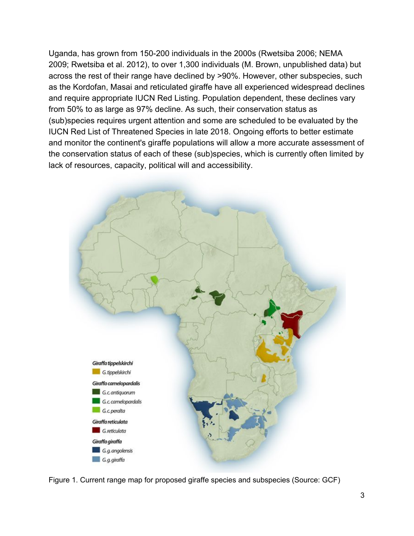Uganda, has grown from 150-200 individuals in the 2000s (Rwetsiba 2006; NEMA 2009; Rwetsiba et al. 2012), to over 1,300 individuals (M. Brown, unpublished data) but across the rest of their range have declined by >90%. However, other subspecies, such as the Kordofan, Masai and reticulated giraffe have all experienced widespread declines and require appropriate IUCN Red Listing. Population dependent, these declines vary from 50% to as large as 97% decline. As such, their conservation status as (sub)species requires urgent attention and some are scheduled to be evaluated by the IUCN Red List of Threatened Species in late 2018. Ongoing efforts to better estimate and monitor the continent's giraffe populations will allow a more accurate assessment of the conservation status of each of these (sub)species, which is currently often limited by lack of resources, capacity, political will and accessibility.



Figure 1. Current range map for proposed giraffe species and subspecies (Source: GCF)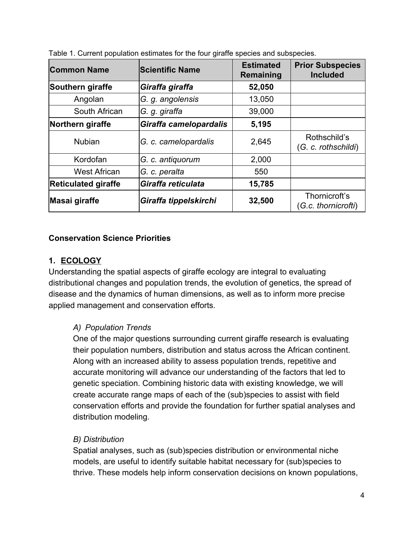| <b>Common Name</b>         | <b>Scientific Name</b> | <b>Estimated</b><br>Remaining | <b>Prior Subspecies</b><br><b>Included</b> |
|----------------------------|------------------------|-------------------------------|--------------------------------------------|
| Southern giraffe           | Giraffa giraffa        | 52,050                        |                                            |
| Angolan                    | G. g. angolensis       | 13,050                        |                                            |
| South African              | G. g. giraffa          | 39,000                        |                                            |
| Northern giraffe           | Giraffa camelopardalis | 5,195                         |                                            |
| <b>Nubian</b>              | G. c. camelopardalis   | 2,645                         | Rothschild's<br>(G. c. rothschildi)        |
| Kordofan                   | G. c. antiquorum       | 2,000                         |                                            |
| <b>West African</b>        | G. c. peralta          | 550                           |                                            |
| <b>Reticulated giraffe</b> | Giraffa reticulata     | 15,785                        |                                            |
| Masai giraffe              | Giraffa tippelskirchi  | 32,500                        | Thornicroft's<br>(G.c. thornicrofti)       |

Table 1. Current population estimates for the four giraffe species and subspecies.

#### **Conservation Science Priorities**

#### **1. ECOLOGY**

Understanding the spatial aspects of giraffe ecology are integral to evaluating distributional changes and population trends, the evolution of genetics, the spread of disease and the dynamics of human dimensions, as well as to inform more precise applied management and conservation efforts.

#### *A) Population Trends*

One of the major questions surrounding current giraffe research is evaluating their population numbers, distribution and status across the African continent. Along with an increased ability to assess population trends, repetitive and accurate monitoring will advance our understanding of the factors that led to genetic speciation. Combining historic data with existing knowledge, we will create accurate range maps of each of the (sub)species to assist with field conservation efforts and provide the foundation for further spatial analyses and distribution modeling.

#### *B) Distribution*

Spatial analyses, such as (sub)species distribution or environmental niche models, are useful to identify suitable habitat necessary for (sub)species to thrive. These models help inform conservation decisions on known populations,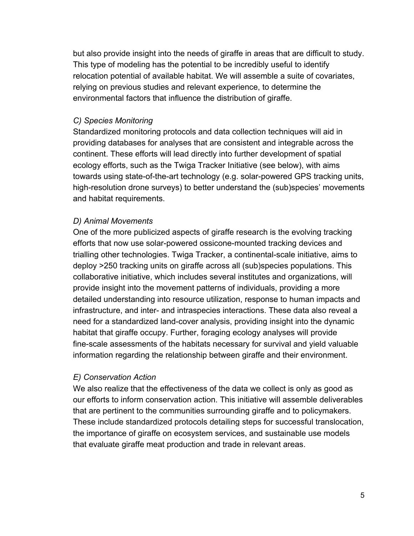but also provide insight into the needs of giraffe in areas that are difficult to study. This type of modeling has the potential to be incredibly useful to identify relocation potential of available habitat. We will assemble a suite of covariates, relying on previous studies and relevant experience, to determine the environmental factors that influence the distribution of giraffe.

#### *C) Species Monitoring*

Standardized monitoring protocols and data collection techniques will aid in providing databases for analyses that are consistent and integrable across the continent. These efforts will lead directly into further development of spatial ecology efforts, such as the Twiga Tracker Initiative (see below), with aims towards using state-of-the-art technology (e.g. solar-powered GPS tracking units, high-resolution drone surveys) to better understand the (sub)species' movements and habitat requirements.

#### *D) Animal Movements*

One of the more publicized aspects of giraffe research is the evolving tracking efforts that now use solar-powered ossicone-mounted tracking devices and trialling other technologies. Twiga Tracker, a continental-scale initiative, aims to deploy >250 tracking units on giraffe across all (sub)species populations. This collaborative initiative, which includes several institutes and organizations, will provide insight into the movement patterns of individuals, providing a more detailed understanding into resource utilization, response to human impacts and infrastructure, and inter- and intraspecies interactions. These data also reveal a need for a standardized land-cover analysis, providing insight into the dynamic habitat that giraffe occupy. Further, foraging ecology analyses will provide fine-scale assessments of the habitats necessary for survival and yield valuable information regarding the relationship between giraffe and their environment.

#### *E) Conservation Action*

We also realize that the effectiveness of the data we collect is only as good as our efforts to inform conservation action. This initiative will assemble deliverables that are pertinent to the communities surrounding giraffe and to policymakers. These include standardized protocols detailing steps for successful translocation, the importance of giraffe on ecosystem services, and sustainable use models that evaluate giraffe meat production and trade in relevant areas.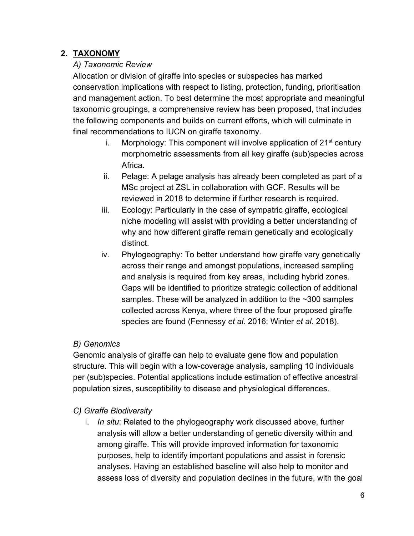# **2. TAXONOMY**

# *A) Taxonomic Review*

Allocation or division of giraffe into species or subspecies has marked conservation implications with respect to listing, protection, funding, prioritisation and management action. To best determine the most appropriate and meaningful taxonomic groupings, a comprehensive review has been proposed, that includes the following components and builds on current efforts, which will culminate in final recommendations to IUCN on giraffe taxonomy.

- i. Morphology: This component will involve application of  $21<sup>st</sup>$  century morphometric assessments from all key giraffe (sub)species across Africa.
- ii. Pelage: A pelage analysis has already been completed as part of a MSc project at ZSL in collaboration with GCF. Results will be reviewed in 2018 to determine if further research is required.
- iii. Ecology: Particularly in the case of sympatric giraffe, ecological niche modeling will assist with providing a better understanding of why and how different giraffe remain genetically and ecologically distinct.
- iv. Phylogeography: To better understand how giraffe vary genetically across their range and amongst populations, increased sampling and analysis is required from key areas, including hybrid zones. Gaps will be identified to prioritize strategic collection of additional samples. These will be analyzed in addition to the ~300 samples collected across Kenya, where three of the four proposed giraffe species are found (Fennessy *et al.* 2016; Winter *et al.* 2018).

# *B) Genomics*

Genomic analysis of giraffe can help to evaluate gene flow and population structure. This will begin with a low-coverage analysis, sampling 10 individuals per (sub)species. Potential applications include estimation of effective ancestral population sizes, susceptibility to disease and physiological differences.

# *C) Giraffe Biodiversity*

i. *In situ*: Related to the phylogeography work discussed above, further analysis will allow a better understanding of genetic diversity within and among giraffe. This will provide improved information for taxonomic purposes, help to identify important populations and assist in forensic analyses. Having an established baseline will also help to monitor and assess loss of diversity and population declines in the future, with the goal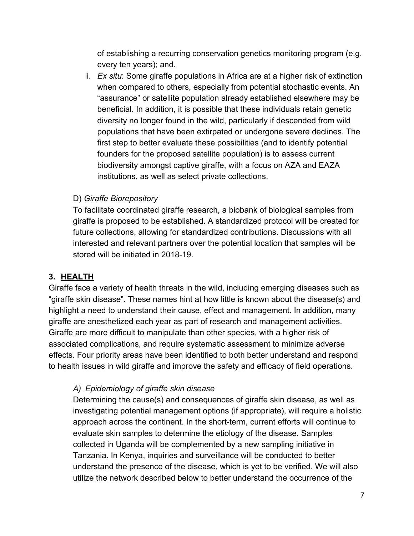of establishing a recurring conservation genetics monitoring program (e.g. every ten years); and.

ii. *Ex situ*: Some giraffe populations in Africa are at a higher risk of extinction when compared to others, especially from potential stochastic events. An "assurance" or satellite population already established elsewhere may be beneficial. In addition, it is possible that these individuals retain genetic diversity no longer found in the wild, particularly if descended from wild populations that have been extirpated or undergone severe declines. The first step to better evaluate these possibilities (and to identify potential founders for the proposed satellite population) is to assess current biodiversity amongst captive giraffe, with a focus on AZA and EAZA institutions, as well as select private collections.

#### D) *Giraffe Biorepository*

To facilitate coordinated giraffe research, a biobank of biological samples from giraffe is proposed to be established. A standardized protocol will be created for future collections, allowing for standardized contributions. Discussions with all interested and relevant partners over the potential location that samples will be stored will be initiated in 2018-19.

# **3. HEALTH**

Giraffe face a variety of health threats in the wild, including emerging diseases such as "giraffe skin disease". These names hint at how little is known about the disease(s) and highlight a need to understand their cause, effect and management. In addition, many giraffe are anesthetized each year as part of research and management activities. Giraffe are more difficult to manipulate than other species, with a higher risk of associated complications, and require systematic assessment to minimize adverse effects. Four priority areas have been identified to both better understand and respond to health issues in wild giraffe and improve the safety and efficacy of field operations.

# *A) Epidemiology of giraffe skin disease*

Determining the cause(s) and consequences of giraffe skin disease, as well as investigating potential management options (if appropriate), will require a holistic approach across the continent. In the short-term, current efforts will continue to evaluate skin samples to determine the etiology of the disease. Samples collected in Uganda will be complemented by a new sampling initiative in Tanzania. In Kenya, inquiries and surveillance will be conducted to better understand the presence of the disease, which is yet to be verified. We will also utilize the network described below to better understand the occurrence of the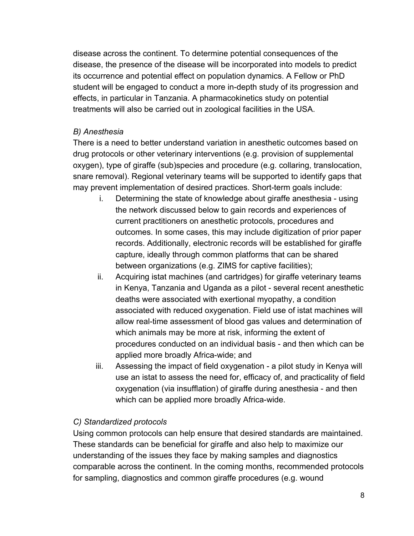disease across the continent. To determine potential consequences of the disease, the presence of the disease will be incorporated into models to predict its occurrence and potential effect on population dynamics. A Fellow or PhD student will be engaged to conduct a more in-depth study of its progression and effects, in particular in Tanzania. A pharmacokinetics study on potential treatments will also be carried out in zoological facilities in the USA.

# *B) Anesthesia*

There is a need to better understand variation in anesthetic outcomes based on drug protocols or other veterinary interventions (e.g. provision of supplemental oxygen), type of giraffe (sub)species and procedure (e.g. collaring, translocation, snare removal). Regional veterinary teams will be supported to identify gaps that may prevent implementation of desired practices. Short-term goals include:

- i. Determining the state of knowledge about giraffe anesthesia using the network discussed below to gain records and experiences of current practitioners on anesthetic protocols, procedures and outcomes. In some cases, this may include digitization of prior paper records. Additionally, electronic records will be established for giraffe capture, ideally through common platforms that can be shared between organizations (e.g. ZIMS for captive facilities);
- ii. Acquiring istat machines (and cartridges) for giraffe veterinary teams in Kenya, Tanzania and Uganda as a pilot - several recent anesthetic deaths were associated with exertional myopathy, a condition associated with reduced oxygenation. Field use of istat machines will allow real-time assessment of blood gas values and determination of which animals may be more at risk, informing the extent of procedures conducted on an individual basis - and then which can be applied more broadly Africa-wide; and
- iii. Assessing the impact of field oxygenation a pilot study in Kenya will use an istat to assess the need for, efficacy of, and practicality of field oxygenation (via insufflation) of giraffe during anesthesia - and then which can be applied more broadly Africa-wide.

# *C) Standardized protocols*

Using common protocols can help ensure that desired standards are maintained. These standards can be beneficial for giraffe and also help to maximize our understanding of the issues they face by making samples and diagnostics comparable across the continent. In the coming months, recommended protocols for sampling, diagnostics and common giraffe procedures (e.g. wound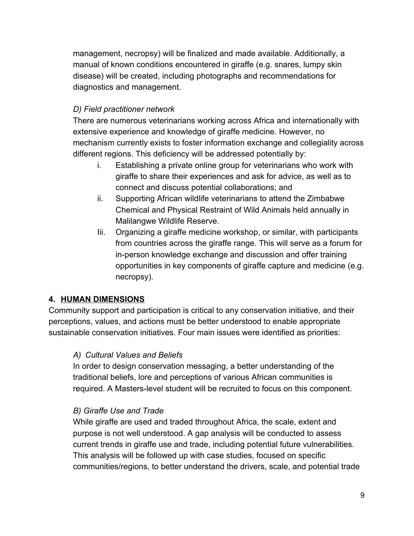management, necropsy) will be finalized and made available. Additionally, a manual of known conditions encountered in giraffe (e.g. snares, lumpy skin disease) will be created, including photographs and recommendations for diagnostics and management.

# *D) Field practitioner network*

There are numerous veterinarians working across Africa and internationally with extensive experience and knowledge of giraffe medicine. However, no mechanism currently exists to foster information exchange and collegiality across different regions. This deficiency will be addressed potentially by:

- i. Establishing a private online group for veterinarians who work with giraffe to share their experiences and ask for advice, as well as to connect and discuss potential collaborations; and
- ii. Supporting African wildlife veterinarians to attend the Zimbabwe Chemical and Physical Restraint of Wild Animals held annually in Malilangwe Wildlife Reserve.
- Iii. Organizing a giraffe medicine workshop, or similar, with participants from countries across the giraffe range. This will serve as a forum for in-person knowledge exchange and discussion and offer training opportunities in key components of giraffe capture and medicine (e.g. necropsy).

# **4. HUMAN DIMENSIONS**

Community support and participation is critical to any conservation initiative, and their perceptions, values, and actions must be better understood to enable appropriate sustainable conservation initiatives. Four main issues were identified as priorities:

# *A) Cultural Values and Beliefs*

In order to design conservation messaging, a better understanding of the traditional beliefs, lore and perceptions of various African communities is required. A Masters-level student will be recruited to focus on this component.

# *B) Giraffe Use and Trade*

While giraffe are used and traded throughout Africa, the scale, extent and purpose is not well understood. A gap analysis will be conducted to assess current trends in giraffe use and trade, including potential future vulnerabilities. This analysis will be followed up with case studies, focused on specific communities/regions, to better understand the drivers, scale, and potential trade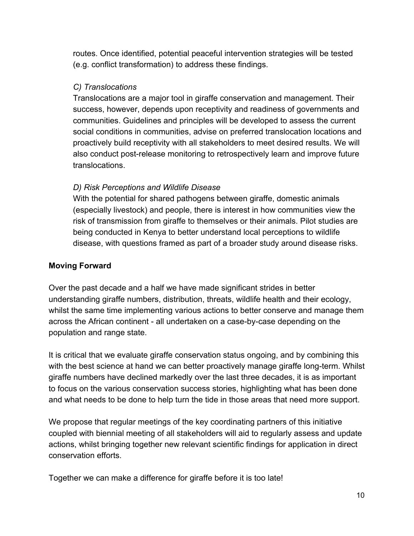routes. Once identified, potential peaceful intervention strategies will be tested (e.g. conflict transformation) to address these findings.

#### *C) Translocations*

Translocations are a major tool in giraffe conservation and management. Their success, however, depends upon receptivity and readiness of governments and communities. Guidelines and principles will be developed to assess the current social conditions in communities, advise on preferred translocation locations and proactively build receptivity with all stakeholders to meet desired results. We will also conduct post-release monitoring to retrospectively learn and improve future translocations.

# *D) Risk Perceptions and Wildlife Disease*

With the potential for shared pathogens between giraffe, domestic animals (especially livestock) and people, there is interest in how communities view the risk of transmission from giraffe to themselves or their animals. Pilot studies are being conducted in Kenya to better understand local perceptions to wildlife disease, with questions framed as part of a broader study around disease risks.

#### **Moving Forward**

Over the past decade and a half we have made significant strides in better understanding giraffe numbers, distribution, threats, wildlife health and their ecology, whilst the same time implementing various actions to better conserve and manage them across the African continent - all undertaken on a case-by-case depending on the population and range state.

It is critical that we evaluate giraffe conservation status ongoing, and by combining this with the best science at hand we can better proactively manage giraffe long-term. Whilst giraffe numbers have declined markedly over the last three decades, it is as important to focus on the various conservation success stories, highlighting what has been done and what needs to be done to help turn the tide in those areas that need more support.

We propose that regular meetings of the key coordinating partners of this initiative coupled with biennial meeting of all stakeholders will aid to regularly assess and update actions, whilst bringing together new relevant scientific findings for application in direct conservation efforts.

Together we can make a difference for giraffe before it is too late!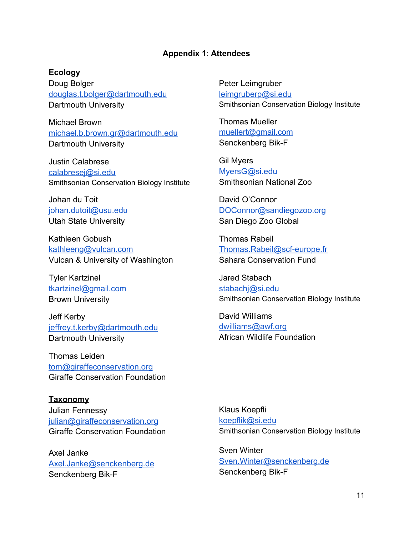#### **Appendix 1**: **Attendees**

#### **Ecology**

Doug Bolger [douglas.t.bolger@dartmouth.edu](mailto:douglas.t.bolger@dartmouth.edu) Dartmouth University

Michael Brown [michael.b.brown.gr@dartmouth.edu](mailto:michael.b.brown.gr@dartmouth.edu) Dartmouth University

Justin Calabrese [calabresej@si.edu](mailto:calabresej@si.edu) Smithsonian Conservation Biology Institute

Johan du Toit [johan.dutoit@usu.edu](mailto:johan.dutoit@usu.edu) Utah State University

Kathleen Gobush [kathleeng@vulcan.com](mailto:kathleeng@vulcan.com) Vulcan & University of Washington

Tyler Kartzinel [tkartzinel@gmail.com](mailto:tkartzinel@gmail.com) Brown University

Jeff Kerby [jeffrey.t.kerby@dartmouth.edu](mailto:jeffrey.t.kerby@dartmouth.edu) Dartmouth University

Thomas Leiden [tom@giraffeconservation.org](mailto:tom@giraffeconservation.org) Giraffe Conservation Foundation

**Taxonomy** Julian Fennessy [julian@giraffeconservation.org](mailto:julian@giraffeconservation.org) Giraffe Conservation Foundation

Axel Janke [Axel.Janke@senckenberg.de](mailto:Axel.Janke@senckenberg.de) Senckenberg Bik-F

Peter Leimgruber [leimgruberp@si.edu](mailto:leimgruberp@si.edu) Smithsonian Conservation Biology Institute

Thomas Mueller [muellert@gmail.com](mailto:muellert@gmail.com) Senckenberg Bik-F

Gil Myers [MyersG@si.edu](mailto:MyersG@si.edu) Smithsonian National Zoo

David O'Connor [DOConnor@sandiegozoo.org](mailto:DOConnor@sandiegozoo.org) San Diego Zoo Global

Thomas Rabeil [Thomas.Rabeil@scf-europe.fr](mailto:Thomas.Rabeil@scf-europe.fr) Sahara Conservation Fund

Jared Stabach [stabachj@si.edu](mailto:stabachj@si.edu) Smithsonian Conservation Biology Institute

David Williams [dwilliams@awf.org](mailto:dwilliams@awf.org) African Wildlife Foundation

Klaus Koepfli [koepflik@si.edu](mailto:koepflik@si.edu) Smithsonian Conservation Biology Institute

Sven Winter [Sven.Winter@senckenberg.de](mailto:Sven.Winter@senckenberg.de) Senckenberg Bik-F